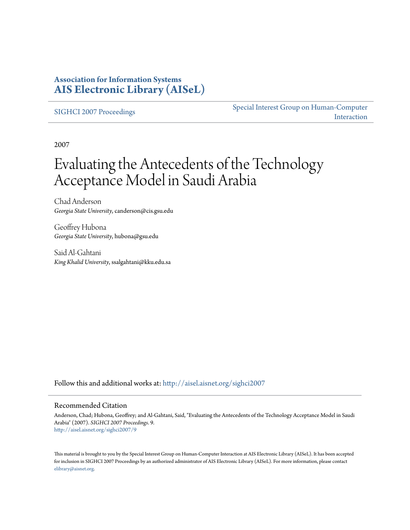### **Association for Information Systems [AIS Electronic Library \(AISeL\)](http://aisel.aisnet.org?utm_source=aisel.aisnet.org%2Fsighci2007%2F9&utm_medium=PDF&utm_campaign=PDFCoverPages)**

[SIGHCI 2007 Proceedings](http://aisel.aisnet.org/sighci2007?utm_source=aisel.aisnet.org%2Fsighci2007%2F9&utm_medium=PDF&utm_campaign=PDFCoverPages)

[Special Interest Group on Human-Computer](http://aisel.aisnet.org/sighci?utm_source=aisel.aisnet.org%2Fsighci2007%2F9&utm_medium=PDF&utm_campaign=PDFCoverPages) [Interaction](http://aisel.aisnet.org/sighci?utm_source=aisel.aisnet.org%2Fsighci2007%2F9&utm_medium=PDF&utm_campaign=PDFCoverPages)

2007

# Evaluating the Antecedents of the Technology Acceptance Model in Saudi Arabia

Chad Anderson *Georgia State University*, canderson@cis.gsu.edu

Geoffrey Hubona *Georgia State University*, hubona@gsu.edu

Said Al-Gahtani *King Khalid University*, ssalgahtani@kku.edu.sa

Follow this and additional works at: [http://aisel.aisnet.org/sighci2007](http://aisel.aisnet.org/sighci2007?utm_source=aisel.aisnet.org%2Fsighci2007%2F9&utm_medium=PDF&utm_campaign=PDFCoverPages)

#### Recommended Citation

Anderson, Chad; Hubona, Geoffrey; and Al-Gahtani, Said, "Evaluating the Antecedents of the Technology Acceptance Model in Saudi Arabia" (2007). *SIGHCI 2007 Proceedings*. 9. [http://aisel.aisnet.org/sighci2007/9](http://aisel.aisnet.org/sighci2007/9?utm_source=aisel.aisnet.org%2Fsighci2007%2F9&utm_medium=PDF&utm_campaign=PDFCoverPages)

This material is brought to you by the Special Interest Group on Human-Computer Interaction at AIS Electronic Library (AISeL). It has been accepted for inclusion in SIGHCI 2007 Proceedings by an authorized administrator of AIS Electronic Library (AISeL). For more information, please contact [elibrary@aisnet.org.](mailto:elibrary@aisnet.org%3E)